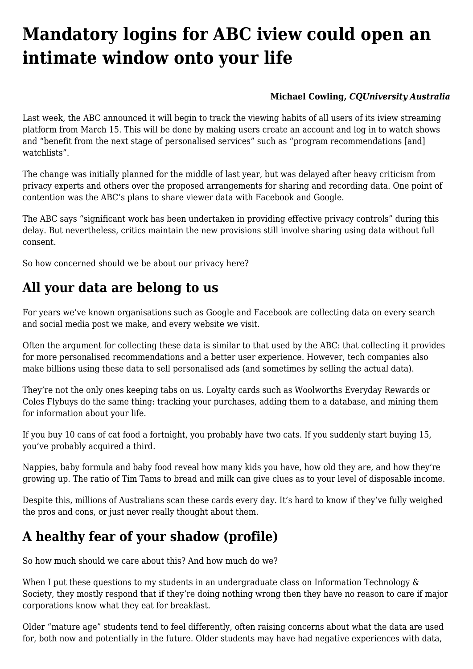# **[Mandatory logins for ABC iview could open an](https://www.melbpc.org.au/mandatory-logins-for-abc-iview-could-open-an-intimate-window-onto-your-life/) [intimate window onto your life](https://www.melbpc.org.au/mandatory-logins-for-abc-iview-could-open-an-intimate-window-onto-your-life/)**

#### **[Michael Cowling](https://theconversation.com/profiles/michael-cowling-117075),** *[CQUniversity Australia](https://theconversation.com/institutions/cquniversity-australia-2140)*

Last week, the ABC [announced](https://about.abc.net.au/press-releases/%E2%80%AFabc%E2%80%AFiview%E2%80%AFlogin-to-watch/) it will begin to track the viewing habits of all users of its [iview streaming](https://iview.abc.net.au) [platform](https://iview.abc.net.au) from March 15. This will be done by making users create an account and log in to watch shows and "benefit from the next stage of personalised services" such as "program recommendations [and] watchlists".

The change was initially planned for the middle of last year, but was [delayed after heavy criticism](https://www.innovationaus.com/abc-quietly-delays-iview-login-plans-data-sharing/) from privacy experts and others over the proposed arrangements for sharing and recording data. One point of contention was the ABC's plans to share viewer data with Facebook and Google.

The ABC [says](https://about.abc.net.au/statements/abc%E2%80%AFiview%E2%80%AFlogin-to-watch-faqs/) "significant work has been undertaken in providing effective privacy controls" during this delay. But nevertheless, [critics maintain](https://www.salingerprivacy.com.au/2022/01/06/the-abcs-of-privacy/) the new provisions still involve sharing using data without full consent.

So how concerned should we be about our privacy here?

# **All your data are belong to us**

For years we've known organisations such as Google and Facebook are collecting data on every search and social media post we make, and every website we visit.

Often the argument for collecting these data is similar to that used by the ABC: that collecting it provides for more personalised recommendations and a better user experience. However, tech companies also make billions using these data to sell personalised ads (and sometimes by selling the actual data).

They're not the only ones keeping tabs on us. Loyalty cards such as Woolworths Everyday Rewards or Coles Flybuys do the same thing: tracking your purchases, adding them to a database, and mining them for information about your life.

If you buy 10 cans of cat food a fortnight, you probably have two cats. If you suddenly start buying 15, you've probably acquired a third.

Nappies, baby formula and baby food reveal how many kids you have, how old they are, and how they're growing up. The ratio of Tim Tams to bread and milk can give clues as to your level of disposable income.

Despite this, millions of Australians scan these cards every day. It's hard to know if they've fully weighed the pros and cons, or just never really thought about them.

## **A healthy fear of your shadow (profile)**

So how much should we care about this? And how much do we?

When I put these questions to my students in an undergraduate class on Information Technology & Society, they mostly respond that if they're doing nothing wrong then they have no reason to care if major corporations know what they eat for breakfast.

Older "mature age" students tend to feel differently, often raising concerns about what the data are used for, both now and potentially in the future. Older students may have had negative experiences with data,